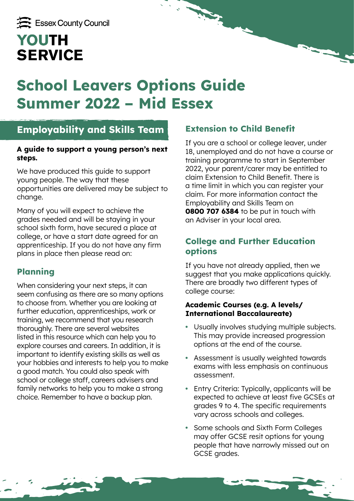# **School Leavers Options Guide Summer 2022 – Mid Essex**

# **Employability and Skills Team**

#### **A guide to support a young person's next steps.**

We have produced this guide to support young people. The way that these opportunities are delivered may be subject to change.

Many of you will expect to achieve the grades needed and will be staying in your school sixth form, have secured a place at college, or have a start date agreed for an apprenticeship. If you do not have any firm plans in place then please read on:

# **Planning**

When considering your next steps, it can seem confusing as there are so many options to choose from. Whether you are looking at further education, apprenticeships, work or training, we recommend that you research thoroughly. There are several websites listed in this resource which can help you to explore courses and careers. In addition, it is important to identify existing skills as well as your hobbies and interests to help you to make a good match. You could also speak with school or college staff, careers advisers and family networks to help you to make a strong choice. Remember to have a backup plan.

## **Extension to Child Benefit**

If you are a school or college leaver, under 18, unemployed and do not have a course or training programme to start in September 2022, your parent/carer may be entitled to claim Extension to Child Benefit. There is a time limit in which you can register your claim. For more information contact the Employability and Skills Team on **0800 707 6384** to be put in touch with an Adviser in your local area.

# **College and Further Education options**

If you have not already applied, then we suggest that you make applications quickly. There are broadly two different types of college course:

### **Academic Courses (e.g. A levels/ International Baccalaureate)**

- **•** Usually involves studying multiple subjects. This may provide increased progression options at the end of the course.
- **•** Assessment is usually weighted towards exams with less emphasis on continuous assessment.
- **•** Entry Criteria: Typically, applicants will be expected to achieve at least five GCSEs at grades 9 to 4. The specific requirements vary across schools and colleges.
- **•** Some schools and Sixth Form Colleges may offer GCSE resit options for young people that have narrowly missed out on GCSE grades.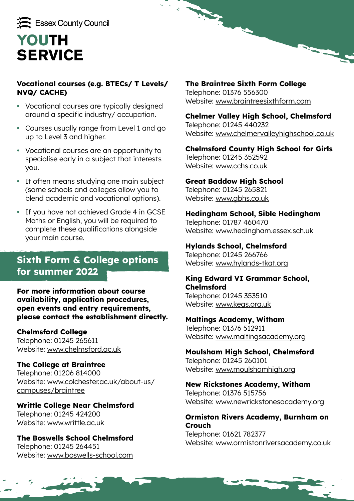

### **Vocational courses (e.g. BTECs/ T Levels/ NVQ/ CACHE)**

- **•** Vocational courses are typically designed around a specific industry/ occupation.
- **•** Courses usually range from Level 1 and go up to Level 3 and higher.
- **•** Vocational courses are an opportunity to specialise early in a subject that interests you.
- **•** It often means studying one main subject (some schools and colleges allow you to blend academic and vocational options).
- **•** If you have not achieved Grade 4 in GCSE Maths or English, you will be required to complete these qualifications alongside your main course.

# **Sixth Form & College options for summer 2022**

#### **For more information about course availability, application procedures, open events and entry requirements, please contact the establishment directly.**

### **Chelmsford College**

Telephone: 01245 265611 Website: [www.chelmsford.ac.uk](http://www.chelmsford.ac.uk)

### **The College at Braintree**

Telephone: 01206 814000 Website: [www.colchester.ac.uk/about-us/](https://www.colchester.ac.uk/about-us/campuses/braintree/) [campuses/braintree](https://www.colchester.ac.uk/about-us/campuses/braintree/)

## **Writtle College Near Chelmsford** Telephone: 01245 424200

Website: [www.writtle.ac.uk](http://www.writtle.ac.uk)

#### **The Boswells School Chelmsford** Telephone: 01245 264451 Website: [www.boswells-school.com](http://www.boswells-school.com)

### **The Braintree Sixth Form College** Telephone: 01376 556300

Website: [www.braintreesixthform.com](http://www.braintreesixthform.com)

### **Chelmer Valley High School, Chelmsford**

Telephone: 01245 440232 Website: [www.chelmervalleyhighschool.co.uk](http://www.chelmervalleyhighschool.co.uk)

### **Chelmsford County High School for Girls**

Telephone: 01245 352592 Website: [www.cchs.co.uk](http://www.cchs.co.uk)

**They** 

### **Great Baddow High School**

Telephone: 01245 265821 Website: [www.gbhs.co.uk](http://www.gbhs.co.uk)

### **Hedingham School, Sible Hedingham**

Telephone: 01787 460470 Website: [www.hedingham.essex.sch.uk](http://www.hedingham.essex.sch.uk)

### **Hylands School, Chelmsford**

Telephone: 01245 266766 Website: [www.hylands-tkat.org](http://www.hylands-tkat.org)

### **King Edward VI Grammar School, Chelmsford**

Telephone: 01245 353510 Website: [www.kegs.org.uk](http://www.kegs.org.uk)

### **Maltings Academy, Witham**

Telephone: 01376 512911 Website: [www.maltingsacademy.org](http://www.maltingsacademy.org)

### **Moulsham High School, Chelmsford**

Telephone: 01245 260101 Website: [www.moulshamhigh.org](http://www.moulshamhigh.org)

# **New Rickstones Academy, Witham**

Telephone: 01376 515756 Website: [www.newrickstonesacademy.org](http://www.newrickstonesacademy.org)

#### **Ormiston Rivers Academy, Burnham on Crouch**

Telephone: 01621 782377 Website: [www.ormistonriversacademy.co.uk](http://www.ormistonriversacademy.co.uk)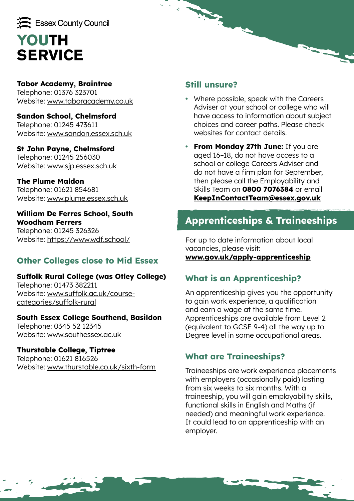

# **Tabor Academy, Braintree**

Telephone: 01376 323701 Website: [www.taboracademy.co.uk](http://www.taboracademy.co.uk)

**Sandon School, Chelmsford** Telephone: 01245 473611 Website: [www.sandon.essex.sch.uk](http://www.sandon.essex.sch.uk)

# **St John Payne, Chelmsford**

Telephone: 01245 256030 Website: [www.sjp.essex.sch.uk](http://www.sjp.essex.sch.uk)

### **The Plume Maldon**

Telephone: 01621 854681 Website: [www.plume.essex.sch.uk](http://www.plume.essex.sch.uk)

#### **William De Ferres School, South Woodham Ferrers**

Telephone: 01245 326326 Website:<https://www.wdf.school/>

# **Other Colleges close to Mid Essex**

### **Suffolk Rural College (was Otley College)**

Telephone: 01473 382211 Website: [www.suffolk.ac.uk/course](http://www.suffolk.ac.uk/course-categories/suffolk-rural)[categories/suffolk-rural](http://www.suffolk.ac.uk/course-categories/suffolk-rural)

### **South Essex College Southend, Basildon**

Telephone: 0345 52 12345 Website: [www.southessex.ac.uk](http://www.southessex.ac.uk)

### **Thurstable College, Tiptree**

Telephone: 01621 816526 Website: [www.thurstable.co.uk/sixth-form](https://www.thurstable.co.uk/sixth-form)

## **Still unsure?**

**Registration** 

- **•** Where possible, speak with the Careers Adviser at your school or college who will have access to information about subject choices and career paths. Please check websites for contact details.
- **• From Monday 27th June:** If you are aged 16–18, do not have access to a school or college Careers Adviser and do not have a firm plan for September, then please call the Employability and Skills Team on **0800 7076384** or email **[KeepInContactTeam@essex.gov.uk](mailto:KeepInContactTeam%40essex.gov.uk?subject=)**

# **Apprenticeships & Traineeships**

For up to date information about local vacancies, please visit: **[www.gov.uk/apply-apprenticeship](http://www.gov.uk/apply-apprenticeship)**

# **What is an Apprenticeship?**

An apprenticeship gives you the opportunity to gain work experience, a qualification and earn a wage at the same time. Apprenticeships are available from Level 2 (equivalent to GCSE 9-4) all the way up to Degree level in some occupational areas.

# **What are Traineeships?**

Traineeships are work experience placements with employers (occasionally paid) lasting from six weeks to six months. With a traineeship, you will gain employability skills, functional skills in English and Maths (if needed) and meaningful work experience. It could lead to an apprenticeship with an employer.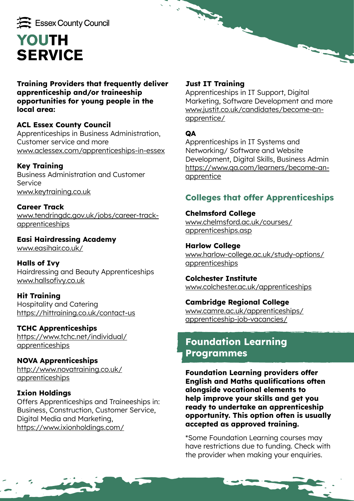

**Training Providers that frequently deliver apprenticeship and/or traineeship opportunities for young people in the local area:**

### **ACL Essex County Council**

Apprenticeships in Business Administration, Customer service and more [www.aclessex.com/apprenticeships-in-essex](http://www.aclessex.com/apprenticeships-in-essex)

### **Key Training**

Business Administration and Customer Service [www.keytraining.co.uk](http://www.keytraining.co.uk)

**Career Track** [www.tendringdc.gov.uk/jobs/career-track](http://www.tendringdc.gov.uk/jobs/career-track-apprenticeships)[apprenticeships](http://www.tendringdc.gov.uk/jobs/career-track-apprenticeships)

**Easi Hairdressing Academy** [www.easihair.co.uk/](http://www.easihair.co.uk/)

**Halls of Ivy** Hairdressing and Beauty Apprenticeships [www.hallsofivy.co.uk](http://www.hallsofivy.co.uk)

**Hit Training**  Hospitality and Catering <https://hittraining.co.uk/contact-us>

### **TCHC Apprenticeships**

https://www.tchc.net/individual/ apprenticeships

**NOVA Apprenticeships** [http://www.novatraining.co.uk/](http://www.novatraining.co.uk/apprenticeships) [apprenticeships](http://www.novatraining.co.uk/apprenticeships)

### **Ixion Holdings**

Offers Apprenticeships and Traineeships in: Business, Construction, Customer Service, Digital Media and Marketing, <https://www.ixionholdings.com/>

### **Just IT Training**

**Reg.** 

Apprenticeships in IT Support, Digital Marketing, Software Development and more [www.justit.co.uk/candidates/become-an](https://www.justit.co.uk/candidates/become-an-apprentice/)[apprentice/](https://www.justit.co.uk/candidates/become-an-apprentice/)

### **QA**

Apprenticeships in IT Systems and Networking/ Software and Website Development, Digital Skills, Business Admin [https://www.qa.com/learners/become-an](https://www.qa.com/learners/become-an-apprentice)[apprentice](https://www.qa.com/learners/become-an-apprentice)

# **Colleges that offer Apprenticeships**

**Chelmsford College** [www.chelmsford.ac.uk/courses/](https://www.chelmsford.ac.uk/courses/apprenticeships.asp) [apprenticeships.asp](https://www.chelmsford.ac.uk/courses/apprenticeships.asp)

**Harlow College** [www.harlow-college.ac.uk/study-options/](https://www.harlow-college.ac.uk/study-options/apprenticeships) [apprenticeships](https://www.harlow-college.ac.uk/study-options/apprenticeships)

**Colchester Institute** [www.colchester.ac.uk/apprenticeships](http://www.colchester.ac.uk/apprenticeships)

### **Cambridge Regional College**

[www.camre.ac.uk/apprenticeships/](https://www.camre.ac.uk/apprenticeships/apprenticeship-job-vacancies/) [apprenticeship-job-vacancies/](https://www.camre.ac.uk/apprenticeships/apprenticeship-job-vacancies/)

# **Foundation Learning Programmes**

**Foundation Learning providers offer English and Maths qualifications often alongside vocational elements to help improve your skills and get you ready to undertake an apprenticeship opportunity. This option often is usually accepted as approved training.** 

\*Some Foundation Learning courses may have restrictions due to funding. Check with the provider when making your enquiries.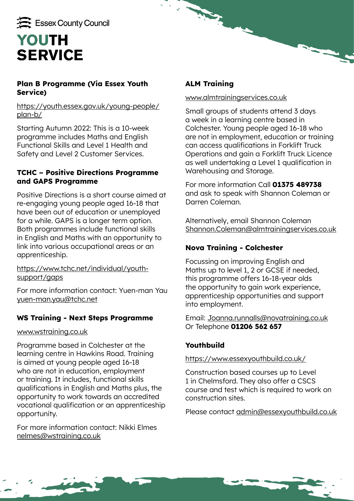

### **Plan B Programme (Via Essex Youth Service)**

[https://youth.essex.gov.uk/young-people/](https://youth.essex.gov.uk/young-people/plan-b/) [plan-b/](https://youth.essex.gov.uk/young-people/plan-b/)

Starting Autumn 2022: This is a 10-week programme includes Maths and English Functional Skills and Level 1 Health and Safety and Level 2 Customer Services.

### **TCHC – Positive Directions Programme and GAPS Programme**

Positive Directions is a short course aimed at re-engaging young people aged 16-18 that have been out of education or unemployed for a while. GAPS is a longer term option. Both programmes include functional skills in English and Maths with an opportunity to link into various occupational areas or an apprenticeship.

[https://www.tchc.net/individual/youth](https://www.tchc.net/individual/youth-support/gaps)[support/gaps](https://www.tchc.net/individual/youth-support/gaps)

For more information contact: Yuen-man Yau [yuen-man.yau@tchc.net](mailto:yuen-man.yau%40tchc.net?subject=)

### **WS Training - Next Steps Programme**

#### [www.wstraining.co.uk](http://www.wstraining.co.uk)

Programme based in Colchester at the learning centre in Hawkins Road. Training is aimed at young people aged 16-18 who are not in education, employment or training. It includes, functional skills qualifications in English and Maths plus, the opportunity to work towards an accredited vocational qualification or an apprenticeship opportunity.

For more information contact: Nikki Elmes [nelmes@wstraining.co.uk](mailto:nelmes%40wstraining.co.uk?subject=)

## **ALM Training**

**Reg.** 

#### [www.almtrainingservices.co.uk](http://www.almtrainingservices.co.uk)

Small groups of students attend 3 days a week in a learning centre based in Colchester. Young people aged 16-18 who are not in employment, education or training can access qualifications in Forklift Truck Operations and gain a Forklift Truck Licence as well undertaking a Level 1 qualification in Warehousing and Storage.

For more information Call **01375 489738** and ask to speak with Shannon Coleman or Darren Coleman.

Alternatively, email Shannon Coleman [Shannon.Coleman@almtrainingservices.co.uk](mailto:Shannon.Coleman%40almtrainingservices.co.uk?subject=)

## **Nova Training - Colchester**

Focussing on improving English and Maths up to level 1, 2 or GCSE if needed, this programme offers 16-18-year olds the opportunity to gain work experience, apprenticeship opportunities and support into employment.

Email: [Joanna.runnalls@novatraining.co.uk](mailto:Joanna.runnalls%40novatraining.co.uk?subject=) Or Telephone **01206 562 657**

## **Youthbuild**

### <https://www.essexyouthbuild.co.uk/>

Construction based courses up to Level 1 in Chelmsford. They also offer a CSCS course and test which is required to work on construction sites.

Please contact [admin@essexyouthbuild.co.uk](mailto:admin%40essexyouthbuild.co.uk?subject=)

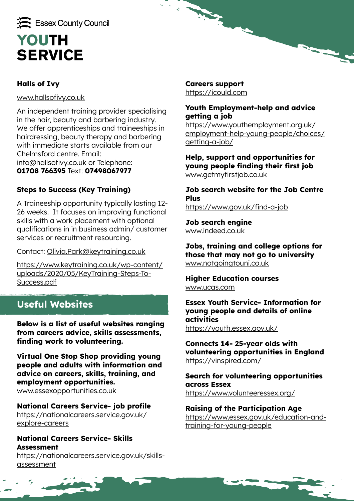

## **Halls of Ivy**

[www.hallsofivy.co.uk](http://www.hallsofivy.co.uk)

An independent training provider specialising in the hair, beauty and barbering industry. We offer apprenticeships and traineeships in hairdressing, beauty therapy and barbering with immediate starts available from our Chelmsford centre. Email: [info@hallsofivy.co.uk](mailto:info%40hallsofivy.co.uk?subject=) or Telephone: **01708 766395** Text: **07498067977**

## **Steps to Success (Key Training)**

A Traineeship opportunity typically lasting 12- 26 weeks. It focuses on improving functional skills with a work placement with optional qualifications in in business admin/ customer services or recruitment resourcing.

Contact: [Olivia.Park@keytraining.co.uk](mailto:Olivia.Park%40keytraining.co.uk?subject=)

[https://www.keytraining.co.uk/wp-content/](https://www.keytraining.co.uk/wp-content/uploads/2020/05/KeyTraining-Steps-To-Success.pdf) [uploads/2020/05/KeyTraining-Steps-To-](https://www.keytraining.co.uk/wp-content/uploads/2020/05/KeyTraining-Steps-To-Success.pdf)[Success.pdf](https://www.keytraining.co.uk/wp-content/uploads/2020/05/KeyTraining-Steps-To-Success.pdf)

# **Useful Websites**

**Below is a list of useful websites ranging from careers advice, skills assessments, finding work to volunteering.** 

**Virtual One Stop Shop providing young people and adults with information and advice on careers, skills, training, and employment opportunities.** [www.essexopportunities.co.uk](http://www.essexopportunities.co.uk)

**National Careers Service- job profile** [https://nationalcareers.service.gov.uk/](https://nationalcareers.service.gov.uk/explore-careers) [explore-careers](https://nationalcareers.service.gov.uk/explore-careers)

### **National Careers Service- Skills Assessment**

[https://nationalcareers.service.gov.uk/skills](https://nationalcareers.service.gov.uk/skills-assessment)[assessment](https://nationalcareers.service.gov.uk/skills-assessment)

**Careers support** <https://icould.com>

**Reg.** 

### **Youth Employment-help and advice getting a job**

[https://www.youthemployment.org.uk/](https://www.youthemployment.org.uk/employment-help-young-people/choices/getting-a-job/) [employment-help-young-people/choices/](https://www.youthemployment.org.uk/employment-help-young-people/choices/getting-a-job/) [getting-a-job/](https://www.youthemployment.org.uk/employment-help-young-people/choices/getting-a-job/)

**Help, support and opportunities for young people finding their first job** [www.getmyfirstjob.co.uk](http://www.getmyfirstjob.co.uk)

**Job search website for the Job Centre Plus** <https://www.gov.uk/find-a-job>

**Job search engine** [www.indeed.co.uk](http://www.indeed.co.uk)

**Jobs, training and college options for those that may not go to university** [www.notgoingtouni.co.uk](http://www.notgoingtouni.co.uk)

**Higher Education courses** [www.ucas.com](http://www.ucas.com)

**Essex Youth Service- Information for young people and details of online activities** <https://youth.essex.gov.uk/>

**Connects 14- 25-year olds with volunteering opportunities in England** <https://vinspired.com/>

**Search for volunteering opportunities across Essex** <https://www.volunteeressex.org/>

**Raising of the Participation Age** [https://www.essex.gov.uk/education-and](https://www.essex.gov.uk/education-and-training-for-young-people)[training-for-young-people](https://www.essex.gov.uk/education-and-training-for-young-people)